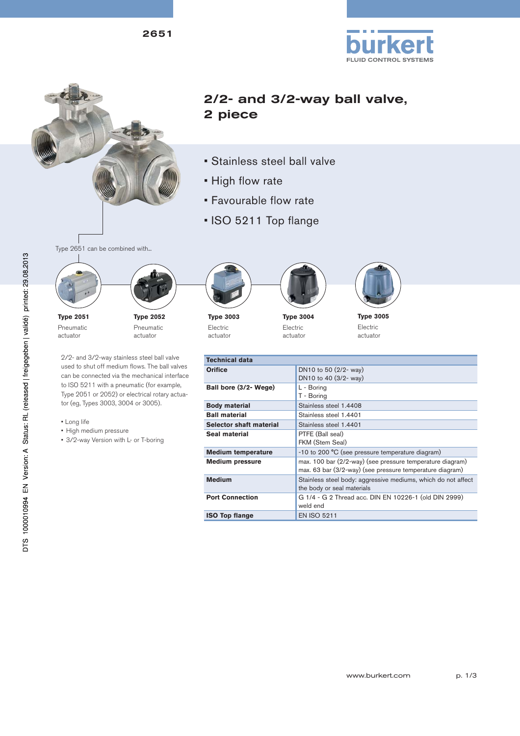2651



# 2/2- and 3/2-way ball valve, 2 piece

- Stainless steel ball valve
- High flow rate
- Favourable flow rate
- ISO 5211 Top flange





**Type 2051** Pneumatic actuator



2/2- and 3/2-way stainless steel ball valve used to shut off medium flows. The ball valves can be connected via the mechanical interface to ISO 5211 with a pneumatic (for example, Type 2051 or 2052) or electrical rotary actua-

- Long life
- High medium pressure
- 3/2-way Version with L- or T-boring

tor (eg, Types 3003, 3004 or 3005).

**Type 3003** Electric actuator









**FLUID CONTROL SYSTEMS** 

**Type 3005** Electric actuator

| Technical data            |                                                                                                                       |
|---------------------------|-----------------------------------------------------------------------------------------------------------------------|
| <b>Orifice</b>            | DN10 to 50 (2/2- way)<br>DN10 to 40 (3/2- way)                                                                        |
| Ball bore (3/2- Wege)     | L - Boring<br>T - Boring                                                                                              |
| Body material             | Stainless steel 1.4408                                                                                                |
| <b>Ball material</b>      | Stainless steel 1.4401                                                                                                |
| Selector shaft material   | Stainless steel 1.4401                                                                                                |
| Seal material             | PTFE (Ball seal)<br>FKM (Stem Seal)                                                                                   |
| <b>Medium temperature</b> | -10 to 200 °C (see pressure temperature diagram)                                                                      |
| <b>Medium pressure</b>    | max. 100 bar (2/2-way) (see pressure temperature diagram)<br>max. 63 bar (3/2-way) (see pressure temperature diagram) |
| Medium                    | Stainless steel body: aggressive mediums, which do not affect<br>the body or seal materials                           |
| <b>Port Connection</b>    | G 1/4 - G 2 Thread acc. DIN EN 10226-1 (old DIN 2999)<br>weld end                                                     |
| <b>ISO Top flange</b>     | <b>EN ISO 5211</b>                                                                                                    |

www.burkert.com p. 1/3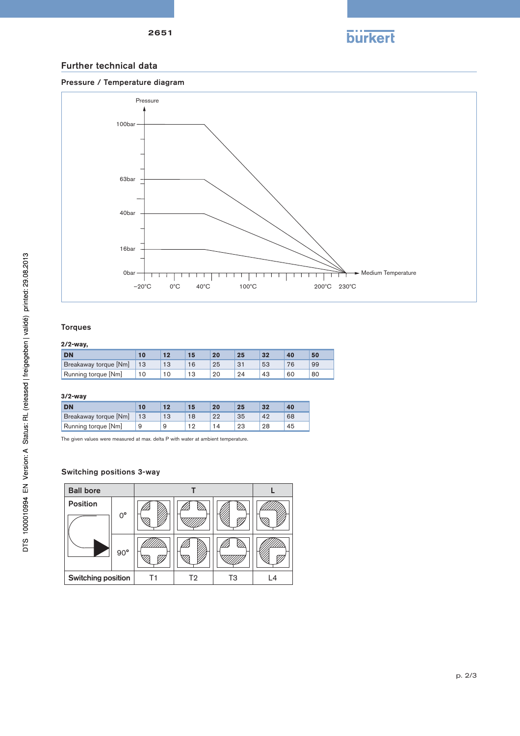

### Further technical data





#### Torques

### **2/2-way,**

| <b>DN</b>             |     |    |    | 25 | 32 |    | 50 |
|-----------------------|-----|----|----|----|----|----|----|
| Breakaway torque [Nm] | -13 |    | 25 |    | 53 |    | 99 |
| Running torque [Nm]   | 10  | ۰J | 20 | 24 | 43 | 60 | 80 |

#### **3/2-way**

| <b>DN</b>             |    |    | 20 | 25 | 32 | 40 |
|-----------------------|----|----|----|----|----|----|
| Breakaway torque [Nm] | 13 | 13 | ດດ | 35 | 42 | 68 |
| Running torque [Nm]   |    | a  |    | 23 | 28 | 45 |

The given values were measured at max. delta P with water at ambient temperature.

#### Switching positions 3-way

| <b>Ball bore</b>   |              |    |                |    |    |
|--------------------|--------------|----|----------------|----|----|
| <b>Position</b>    | $0^{\circ}$  |    |                |    |    |
|                    | $90^{\circ}$ |    |                |    |    |
| Switching position |              | Τ1 | T <sub>2</sub> | T3 | L4 |